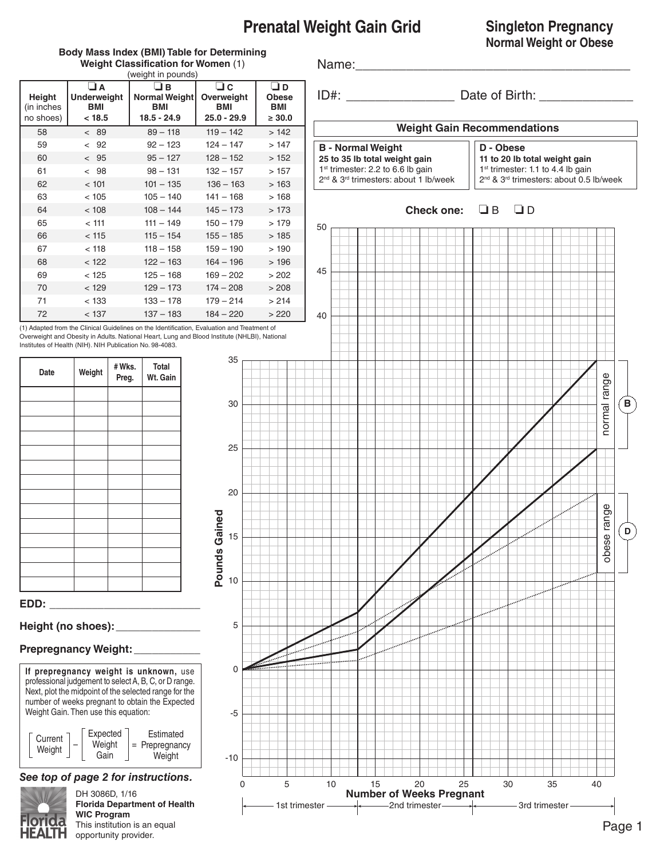## **Prenatal Weight Gain Grid**

#### **Singleton Pregnancy Normal Weight or Obese**

#### **Body Mass Index (BMI) Table for Determining Weight Classification for Women** (1)

Name:

ID#:  $Date of Birth:$ 

**Weight Gain Recommendations**

| <b>B</b> - Normal Weight                                      |
|---------------------------------------------------------------|
| 25 to 35 lb total weight gain                                 |
| 1 <sup>st</sup> trimester: 2.2 to 6.6 lb gain                 |
| 2 <sup>nd</sup> & 3 <sup>rd</sup> trimesters: about 1 lb/week |





|                                   |                                                 | weight Classification for women (1)<br>(weight in pounds) |                                              |                                           |
|-----------------------------------|-------------------------------------------------|-----------------------------------------------------------|----------------------------------------------|-------------------------------------------|
| Height<br>(in inches<br>no shoes) | $\Box$ A<br><b>Underweight</b><br>BMI<br>< 18.5 | O E<br>Normal Weight<br><b>BMI</b><br>$18.5 - 24.9$       | $\Box$ C<br>Overweight<br>BMI<br>25.0 - 29.9 | ⊡ D<br><b>Obese</b><br>BMI<br>$\geq 30.0$ |
| 58                                | < 89                                            | $89 - 118$                                                | $119 - 142$                                  | >142                                      |
| 59                                | < 92                                            | $92 - 123$                                                | $124 - 147$                                  | >147                                      |
| 60                                | & 95                                            | $95 - 127$                                                | $128 - 152$                                  | >152                                      |
| 61                                | < 98                                            | $98 - 131$                                                | $132 - 157$                                  | >157                                      |
| 62                                | < 101                                           | $101 - 135$                                               | $136 - 163$                                  | >163                                      |
| 63                                | < 105                                           | $105 - 140$                                               | $141 - 168$                                  | >168                                      |
| 64                                | < 108                                           | $108 - 144$                                               | $145 - 173$                                  | >173                                      |
| 65                                | < 111                                           | $111 - 149$                                               | $150 - 179$                                  | >179                                      |
| 66                                | < 115                                           | $115 - 154$                                               | $155 - 185$                                  | >185                                      |
| 67                                | < 118                                           | $118 - 158$                                               | $159 - 190$                                  | >190                                      |
| 68                                | < 122                                           | $122 - 163$                                               | $164 - 196$                                  | >196                                      |
| 69                                | < 125                                           | $125 - 168$                                               | $169 - 202$                                  | >202                                      |
| 70                                | < 129                                           | $129 - 173$                                               | $174 - 208$                                  | > 208                                     |
| 71                                | < 133                                           | $133 - 178$                                               | $179 - 214$                                  | > 214                                     |
| 72                                | < 137                                           | $137 - 183$                                               | $184 - 220$                                  | >220                                      |

(1) Adapted from the Clinical Guidelines on the Identification, Evaluation and Treatment of Overweight and Obesity in Adults. National Heart, Lung and Blood Institute (NHLBI), National Institutes of Health (NIH). NIH Publication No. 98-4083.

**Pounds Gained**

Pounds Gained

| Date | Weight | #Wks.<br>Preg. | Total<br>Wt. Gain |  |
|------|--------|----------------|-------------------|--|
|      |        |                |                   |  |
|      |        |                |                   |  |
|      |        |                |                   |  |
|      |        |                |                   |  |
|      |        |                |                   |  |
|      |        |                |                   |  |
|      |        |                |                   |  |
|      |        |                |                   |  |
|      |        |                |                   |  |
|      |        |                |                   |  |
|      |        |                |                   |  |
|      |        |                |                   |  |
|      |        |                |                   |  |
| EDD: |        |                |                   |  |

#### **Height (no shoes):\_\_\_\_\_\_\_\_\_\_\_\_\_\_**

#### **Prepregnancy Weight:**\_\_\_\_\_\_\_\_\_\_\_

**If prepregnancy weight is unknown,** use professional judgement to select A, B, C, or D range. Next, plot the midpoint of the selected range for the number of weeks pregnant to obtain the Expected Weight Gain. Then use this equation:



## *See top of page 2 for instructions.*



DH 3086D, 1/16 **Florida Department of Health WIC Program** This institution is an equal opportunity provider.